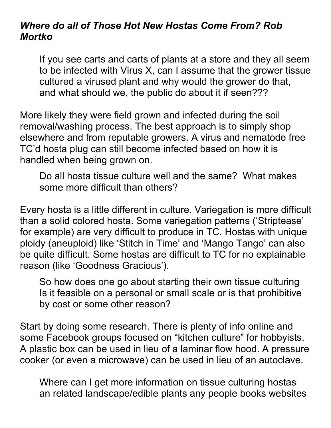## *Where do all of Those Hot New Hostas Come From? Rob Mortko*

If you see carts and carts of plants at a store and they all seem to be infected with Virus X, can I assume that the grower tissue cultured a virused plant and why would the grower do that, and what should we, the public do about it if seen???

More likely they were field grown and infected during the soil removal/washing process. The best approach is to simply shop elsewhere and from reputable growers. A virus and nematode free TC'd hosta plug can still become infected based on how it is handled when being grown on.

Do all hosta tissue culture well and the same? What makes some more difficult than others?

Every hosta is a little different in culture. Variegation is more difficult than a solid colored hosta. Some variegation patterns ('Striptease' for example) are very difficult to produce in TC. Hostas with unique ploidy (aneuploid) like 'Stitch in Time' and 'Mango Tango' can also be quite difficult. Some hostas are difficult to TC for no explainable reason (like 'Goodness Gracious').

So how does one go about starting their own tissue culturing Is it feasible on a personal or small scale or is that prohibitive by cost or some other reason?

Start by doing some research. There is plenty of info online and some Facebook groups focused on "kitchen culture" for hobbyists. A plastic box can be used in lieu of a laminar flow hood. A pressure cooker (or even a microwave) can be used in lieu of an autoclave.

Where can I get more information on tissue culturing hostas an related landscape/edible plants any people books websites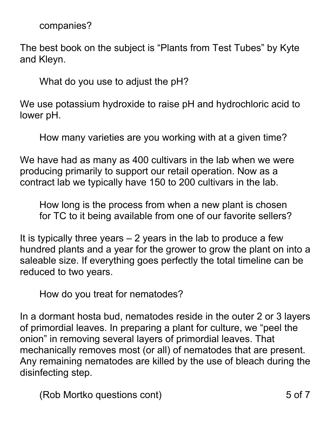companies?

The best book on the subject is "Plants from Test Tubes" by Kyte and Kleyn.

What do you use to adjust the pH?

We use potassium hydroxide to raise pH and hydrochloric acid to lower pH.

How many varieties are you working with at a given time?

We have had as many as 400 cultivars in the lab when we were producing primarily to support our retail operation. Now as a contract lab we typically have 150 to 200 cultivars in the lab.

How long is the process from when a new plant is chosen for TC to it being available from one of our favorite sellers?

It is typically three years  $-2$  years in the lab to produce a few hundred plants and a year for the grower to grow the plant on into a saleable size. If everything goes perfectly the total timeline can be reduced to two years.

How do you treat for nematodes?

In a dormant hosta bud, nematodes reside in the outer 2 or 3 layers of primordial leaves. In preparing a plant for culture, we "peel the onion" in removing several layers of primordial leaves. That mechanically removes most (or all) of nematodes that are present. Any remaining nematodes are killed by the use of bleach during the disinfecting step.

(Rob Mortko questions cont) 5 of 7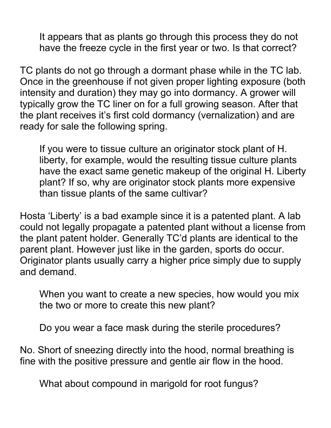It appears that as plants go through this process they do not have the freeze cycle in the first year or two. Is that correct?

TC plants do not go through a dormant phase while in the TC lab. Once in the greenhouse if not given proper lighting exposure (both intensity and duration) they may go into dormancy. A grower will typically grow the TC liner on for a full growing season. After that the plant receives it's first cold dormancy (vernalization) and are ready for sale the following spring.

If you were to tissue culture an originator stock plant of H. liberty, for example, would the resulting tissue culture plants have the exact same genetic makeup of the original H. Liberty plant? If so, why are originator stock plants more expensive than tissue plants of the same cultivar?

Hosta 'Liberty' is a bad example since it is a patented plant. A lab could not legally propagate a patented plant without a license from the plant patent holder. Generally TC'd plants are identical to the parent plant. However just like in the garden, sports do occur. Originator plants usually carry a higher price simply due to supply and demand.

When you want to create a new species, how would you mix the two or more to create this new plant?

Do you wear a face mask during the sterile procedures?

No. Short of sneezing directly into the hood, normal breathing is fine with the positive pressure and gentle air flow in the hood.

What about compound in marigold for root fungus?